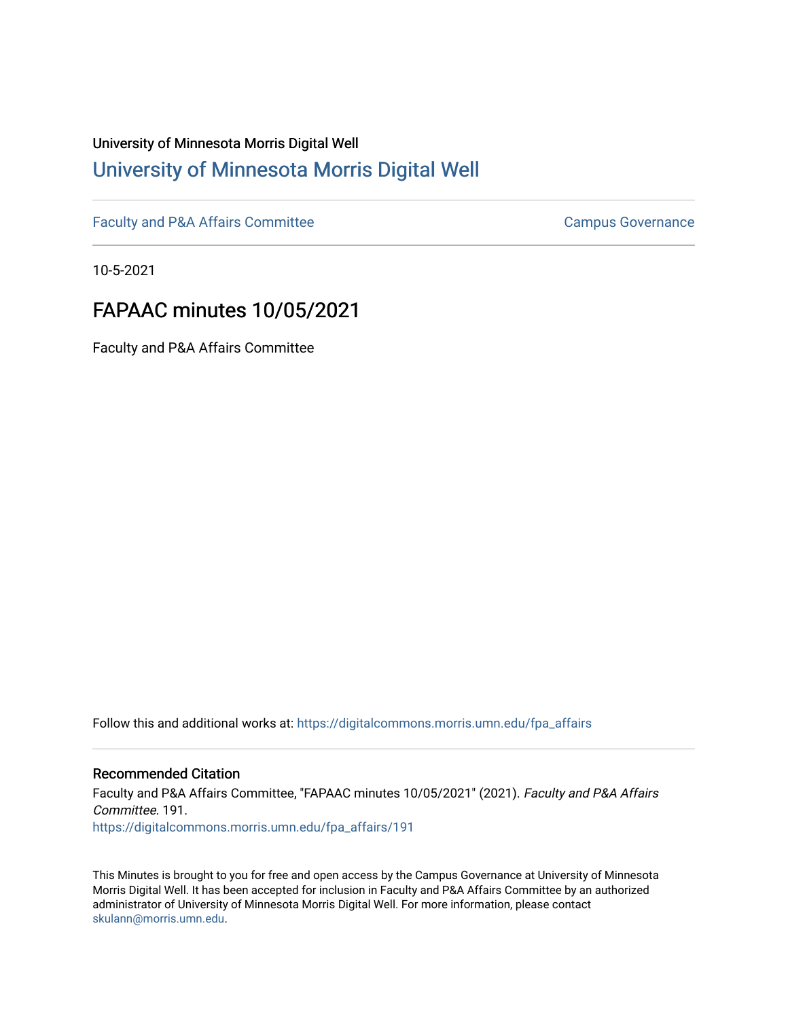## University of Minnesota Morris Digital Well [University of Minnesota Morris Digital Well](https://digitalcommons.morris.umn.edu/)

[Faculty and P&A Affairs Committee](https://digitalcommons.morris.umn.edu/fpa_affairs) [Campus Governance](https://digitalcommons.morris.umn.edu/campgov) Campus Governance

10-5-2021

# FAPAAC minutes 10/05/2021

Faculty and P&A Affairs Committee

Follow this and additional works at: [https://digitalcommons.morris.umn.edu/fpa\\_affairs](https://digitalcommons.morris.umn.edu/fpa_affairs?utm_source=digitalcommons.morris.umn.edu%2Ffpa_affairs%2F191&utm_medium=PDF&utm_campaign=PDFCoverPages)

#### Recommended Citation

Faculty and P&A Affairs Committee, "FAPAAC minutes 10/05/2021" (2021). Faculty and P&A Affairs Committee. 191.

[https://digitalcommons.morris.umn.edu/fpa\\_affairs/191](https://digitalcommons.morris.umn.edu/fpa_affairs/191?utm_source=digitalcommons.morris.umn.edu%2Ffpa_affairs%2F191&utm_medium=PDF&utm_campaign=PDFCoverPages)

This Minutes is brought to you for free and open access by the Campus Governance at University of Minnesota Morris Digital Well. It has been accepted for inclusion in Faculty and P&A Affairs Committee by an authorized administrator of University of Minnesota Morris Digital Well. For more information, please contact [skulann@morris.umn.edu.](mailto:skulann@morris.umn.edu)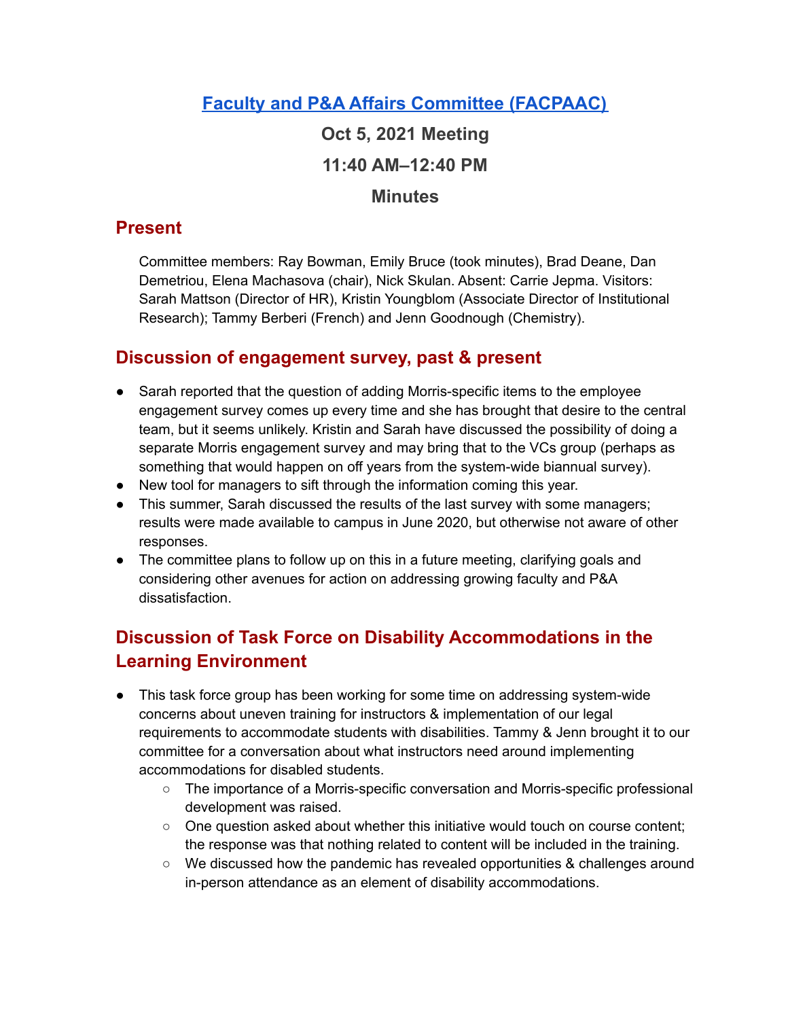## **Faculty and P&A Affairs Committee [\(FACPAAC\)](https://committees.morris.umn.edu/faculty-and-pa-affairs-committee)**

**Oct 5, 2021 Meeting 11:40 AM–12:40 PM Minutes**

#### **Present**

Committee members: Ray Bowman, Emily Bruce (took minutes), Brad Deane, Dan Demetriou, Elena Machasova (chair), Nick Skulan. Absent: Carrie Jepma. Visitors: Sarah Mattson (Director of HR), Kristin Youngblom (Associate Director of Institutional Research); Tammy Berberi (French) and Jenn Goodnough (Chemistry).

#### **Discussion of engagement survey, past & present**

- Sarah reported that the question of adding Morris-specific items to the employee engagement survey comes up every time and she has brought that desire to the central team, but it seems unlikely. Kristin and Sarah have discussed the possibility of doing a separate Morris engagement survey and may bring that to the VCs group (perhaps as something that would happen on off years from the system-wide biannual survey).
- New tool for managers to sift through the information coming this year.
- This summer, Sarah discussed the results of the last survey with some managers; results were made available to campus in June 2020, but otherwise not aware of other responses.
- The committee plans to follow up on this in a future meeting, clarifying goals and considering other avenues for action on addressing growing faculty and P&A dissatisfaction.

## **Discussion of Task Force on Disability Accommodations in the Learning Environment**

- This task force group has been working for some time on addressing system-wide concerns about uneven training for instructors & implementation of our legal requirements to accommodate students with disabilities. Tammy & Jenn brought it to our committee for a conversation about what instructors need around implementing accommodations for disabled students.
	- The importance of a Morris-specific conversation and Morris-specific professional development was raised.
	- $\circ$  One question asked about whether this initiative would touch on course content; the response was that nothing related to content will be included in the training.
	- We discussed how the pandemic has revealed opportunities & challenges around in-person attendance as an element of disability accommodations.